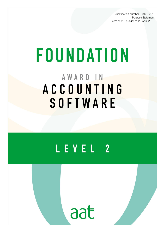Qualification number: 601/8220/9 Purpose Statement Version 2.0 published 22 April 2016

# FOUNDATION AWARD IN ACCOUNTING SOFTWARE

## LEVEL 2



AAT is a registered charity. No. 1050724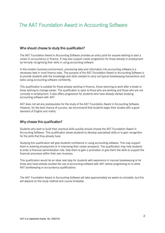### The AAT Foundation Award in Accounting Software

#### Who should choose to study this qualification?

The AAT Foundation Award in Accounting Software provides an entry point for anyone wishing to start a career in accountancy or finance. It may also support career progression for those already in employment by formally recognising their skills in using accounting software.

In the modern business environment, processing data and information into accounting software is a necessary task in most finance roles. The purpose of the AAT Foundation Award in Accounting Software is to provide students with the knowledge and skills needed to carry out typical bookkeeping transactions and tasks using accounting software confidently.

This qualification is suitable for those already working in finance, those returning to work after a break or those wishing to change career. The qualification is open to those who are working and those who are not currently in employment. It also offers progression for students who have already started studying accounting software with AAT.

AAT does not set any prerequisites for the study of the AAT Foundation Award in Accounting Software. However, for the best chance of success, we recommend that students begin their studies with a good standard of English and maths.

#### Why choose this qualification?

Students who wish to build their practical skills quickly should choose the AAT Foundation Award in Accounting Software. This qualification allows students to develop specialised skills or to gain recognition for the skills that they already have.

Studying this qualification will give students confidence in using accounting software. This may support them in entering employment or in improving their career prospects. The qualification may help students to enter a financial administration role, help them to gain a promotion or give them the skills to support the financial processes within their own business.

This qualification would be an ideal next step for students with experience in manual bookkeeping or for those who have already studied the use of accounting software with AAT before progressing on to other AAT bookkeeping or accountancy qualifications.

The AAT Foundation Award in Accounting Software will take approximately six weeks to complete, but this will depend on the study method and course timetable.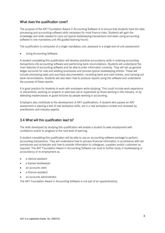#### What does the qualification cover?

The purpose of the AAT Foundation Award in Accounting Software is to ensure that students have the data processing and accounting software skills necessary for most finance roles. Students will gain the knowledge and skills needed to carry out typical bookkeeping transactions and tasks using accounting software in one mandatory unit (45 guided learning hours).

The qualification is composed of a single mandatory unit, assessed in a single end-of-unit assessment:

Using Accounting Software.

A student completing this qualification will develop practical accountancy skills in entering accounting transactions into accounting software and performing bank reconciliations. Students will understand the main features of accounting software and be able to enter information correctly. They will set up general ledger accounts for new and existing businesses and process typical bookkeeping entries. These will include processing sales and purchase documentation, recording bank and cash entries, and carrying out bank reconciliations. Students will also learn how to produce reports using the software and understand the purpose of these reports.

It is good practice for students to work with employers while studying. This could include work experience or placements, working on projects or exercises set or supervised by those working in the industry, or by attending masterclasses or guest lectures by people working in accounting.

Employers also contribute to the development of AAT qualifications. A student who passes an AAT assessment is passing a test of real workplace skills, set in a real workplace context and reviewed by practitioners and industry experts.

#### 3.4 What will this qualification lead to?

The skills developed by studying this qualification will enable a student to seek employment with confidence and/or to progress to the next level of learning.

A student completing this qualification will be able to use an accounting software package to perform accounting transactions. They will understand how to process financial information in accordance with set procedures and schedules and how to provide information to colleagues, suppliers and/or customers as required. The AAT Foundation Award in Accounting Software can lead to further study in bookkeeping or accountancy or to employment as:

- a clerical assistant
- a trainee bookkeeper
- an accounts clerk
- a finance assistant
- an accounts administrator.

The AAT Foundation Award in Accounting Software is not part of an apprenticeship.